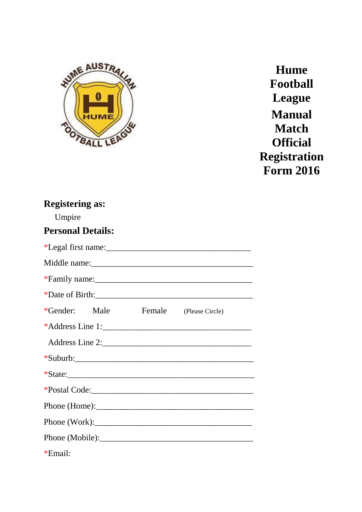

**Hume Football League Manual Match Official Registration Form 2016**

# **Registering as:**  Umpire **Personal Details:** \*Legal first name:\_\_\_\_\_\_\_\_\_\_\_\_\_\_\_\_\_\_\_\_\_\_\_\_\_\_\_\_\_\_\_\_\_\_ Middle name: \*Family name: \*Date of Birth:\_\_\_\_\_\_\_\_\_\_\_\_\_\_\_\_\_\_\_\_\_\_\_\_\_\_\_\_\_\_\_\_\_\_\_\_\_ \*Gender: Male Female (Please Circle) \*Address Line 1: Address Line 2:\_\_\_\_\_\_\_\_\_\_\_\_\_\_\_\_\_\_\_\_\_\_\_\_\_\_\_\_\_\_\_\_\_\_\_ \*Suburb:\_\_\_\_\_\_\_\_\_\_\_\_\_\_\_\_\_\_\_\_\_\_\_\_\_\_\_\_\_\_\_\_\_\_\_\_\_\_\_\_\_\_  $*$ State: \*Postal Code:\_\_\_\_\_\_\_\_\_\_\_\_\_\_\_\_\_\_\_\_\_\_\_\_\_\_\_\_\_\_\_\_\_\_\_\_\_\_ Phone (Home): Phone (Work):\_\_\_\_\_\_\_\_\_\_\_\_\_\_\_\_\_\_\_\_\_\_\_\_\_\_\_\_\_\_\_\_\_\_\_\_\_ Phone (Mobile): \*Email: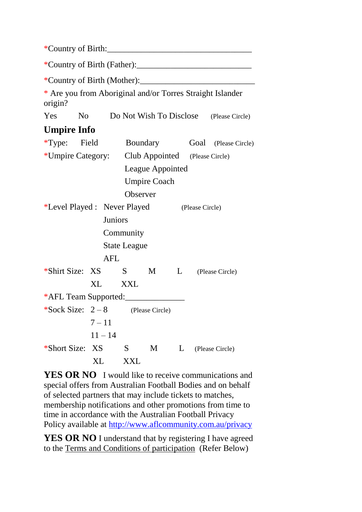| * Are you from Aboriginal and/or Torres Straight Islander<br>origin? |                |                                                  |                     |   |  |                                                |
|----------------------------------------------------------------------|----------------|--------------------------------------------------|---------------------|---|--|------------------------------------------------|
|                                                                      |                |                                                  |                     |   |  | Yes No Do Not Wish To Disclose (Please Circle) |
| <b>Umpire Info</b>                                                   |                |                                                  |                     |   |  |                                                |
|                                                                      |                |                                                  |                     |   |  | *Type: Field Boundary Goal (Please Circle)     |
|                                                                      |                | *Umpire Category: Club Appointed (Please Circle) |                     |   |  |                                                |
|                                                                      |                |                                                  | League Appointed    |   |  |                                                |
|                                                                      |                |                                                  | <b>Umpire Coach</b> |   |  |                                                |
|                                                                      |                | Observer                                         |                     |   |  |                                                |
|                                                                      |                | *Level Played : Never Played (Please Circle)     |                     |   |  |                                                |
|                                                                      | <b>Juniors</b> |                                                  |                     |   |  |                                                |
|                                                                      |                | Community                                        |                     |   |  |                                                |
|                                                                      |                | <b>State League</b>                              |                     |   |  |                                                |
|                                                                      | <b>AFL</b>     |                                                  |                     |   |  |                                                |
| *Shirt Size: XS S M L (Please Circle)                                |                |                                                  |                     |   |  |                                                |
|                                                                      | XL XXL         |                                                  |                     |   |  |                                                |
| *AFL Team Supported:                                                 |                |                                                  |                     |   |  |                                                |
| *Sock Size: $2-8$ (Please Circle)                                    |                |                                                  |                     |   |  |                                                |
|                                                                      | $7 - 11$       |                                                  |                     |   |  |                                                |
|                                                                      | $11 - 14$      |                                                  |                     |   |  |                                                |
| *Short Size:                                                         | XS             | S                                                | M                   | L |  | (Please Circle)                                |
|                                                                      | XL             | <b>XXL</b>                                       |                     |   |  |                                                |

**YES OR NO** I would like to receive communications and special offers from Australian Football Bodies and on behalf of selected partners that may include tickets to matches, membership notifications and other promotions from time to time in accordance with the Australian Football Privacy Policy available at<http://www.aflcommunity.com.au/privacy>

**YES OR NO** I understand that by registering I have agreed to the Terms and Conditions of participation (Refer Below)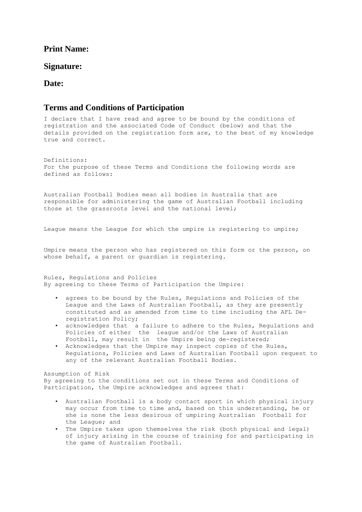## **Print Name:**

#### **Signature:**

#### **Date:**

## **Terms and Conditions of Participation**

I declare that I have read and agree to be bound by the conditions of registration and the associated Code of Conduct (below) and that the details provided on the registration form are, to the best of my knowledge true and correct.

Definitions: For the purpose of these Terms and Conditions the following words are defined as follows:

Australian Football Bodies mean all bodies in Australia that are responsible for administering the game of Australian Football including those at the grassroots level and the national level;

League means the League for which the umpire is registering to umpire;

Umpire means the person who has registered on this form or the person, on whose behalf, a parent or quardian is registering.

Rules, Regulations and Policies By agreeing to these Terms of Participation the Umpire:

- agrees to be bound by the Rules, Regulations and Policies of the League and the Laws of Australian Football, as they are presently constituted and as amended from time to time including the AFL Deregistration Policy;
- acknowledges that a failure to adhere to the Rules, Regulations and Policies of either the league and/or the Laws of Australian Football, may result in the Umpire being de-registered;
- Acknowledges that the Umpire may inspect copies of the Rules, Regulations, Policies and Laws of Australian Football upon request to any of the relevant Australian Football Bodies.

Assumption of Risk By agreeing to the conditions set out in these Terms and Conditions of Participation, the Umpire acknowledges and agrees that:

- Australian Football is a body contact sport in which physical injury may occur from time to time and, based on this understanding, he or she is none the less desirous of umpiring Australian Football for the League; and
- The Umpire takes upon themselves the risk (both physical and legal) of injury arising in the course of training for and participating in the game of Australian Football.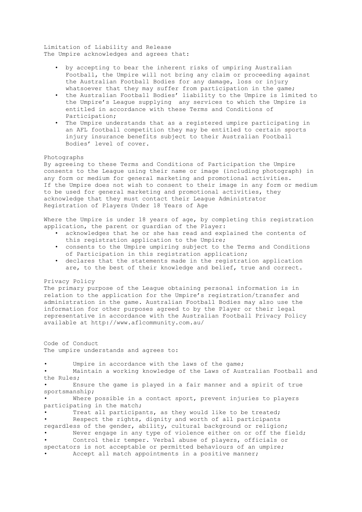Limitation of Liability and Release The Umpire acknowledges and agrees that:

- by accepting to bear the inherent risks of umpiring Australian Football, the Umpire will not bring any claim or proceeding against the Australian Football Bodies for any damage, loss or injury whatsoever that they may suffer from participation in the game;
- the Australian Football Bodies' liability to the Umpire is limited to the Umpire's League supplying any services to which the Umpire is entitled in accordance with these Terms and Conditions of Participation;
- The Umpire understands that as a registered umpire participating in an AFL football competition they may be entitled to certain sports injury insurance benefits subject to their Australian Football Bodies' level of cover.

#### Photographs

By agreeing to these Terms and Conditions of Participation the Umpire consents to the League using their name or image (including photograph) in any form or medium for general marketing and promotional activities. If the Umpire does not wish to consent to their image in any form or medium to be used for general marketing and promotional activities, they acknowledge that they must contact their League Administrator Registration of Players Under 18 Years of Age

Where the Umpire is under 18 years of age, by completing this registration application, the parent or guardian of the Player:

- acknowledges that he or she has read and explained the contents of this registration application to the Umpire;
- consents to the Umpire umpiring subject to the Terms and Conditions of Participation in this registration application;
- declares that the statements made in the registration application are, to the best of their knowledge and belief, true and correct.

#### Privacy Policy

The primary purpose of the League obtaining personal information is in relation to the application for the Umpire's registration/transfer and administration in the game. Australian Football Bodies may also use the information for other purposes agreed to by the Player or their legal representative in accordance with the Australian Football Privacy Policy available at http://www.aflcommunity.com.au/

Code of Conduct The umpire understands and agrees to:

Umpire in accordance with the laws of the game; • Maintain a working knowledge of the Laws of Australian Football and the Rules; Ensure the game is played in a fair manner and a spirit of true sportsmanship; Where possible in a contact sport, prevent injuries to players participating in the match; Treat all participants, as they would like to be treated; Respect the rights, dignity and worth of all participants regardless of the gender, ability, cultural background or religion; Never engage in any type of violence either on or off the field; Control their temper. Verbal abuse of players, officials or spectators is not acceptable or permitted behaviours of an umpire; Accept all match appointments in a positive manner;